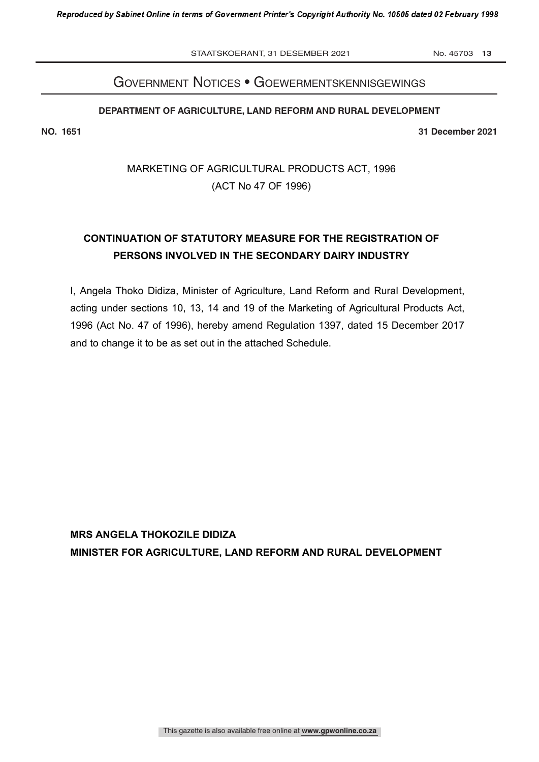STAATSKOERANT, 31 DESEMBER 2021 No. 45703 13

# Government notices • GoewermentskennisGewinGs

### **DEPARTMENT OF AGRICULTURE, LAND REFORM AND RURAL DEVELOPMENT**

**NO. 1651 31 December 2021**

MARKETING OF AGRICULTURAL PRODUCTS ACT, 1996 (ACT No 47 OF 1996)

# **CONTINUATION OF STATUTORY MEASURE FOR THE REGISTRATION OF PERSONS INVOLVED IN THE SECONDARY DAIRY INDUSTRY**

I, Angela Thoko Didiza, Minister of Agriculture, Land Reform and Rural Development, acting under sections 10, 13, 14 and 19 of the Marketing of Agricultural Products Act, 1996 (Act No. 47 of 1996), hereby amend Regulation 1397, dated 15 December 2017 and to change it to be as set out in the attached Schedule.

**MRS ANGELA THOKOZILE DIDIZA MINISTER FOR AGRICULTURE, LAND REFORM AND RURAL DEVELOPMENT**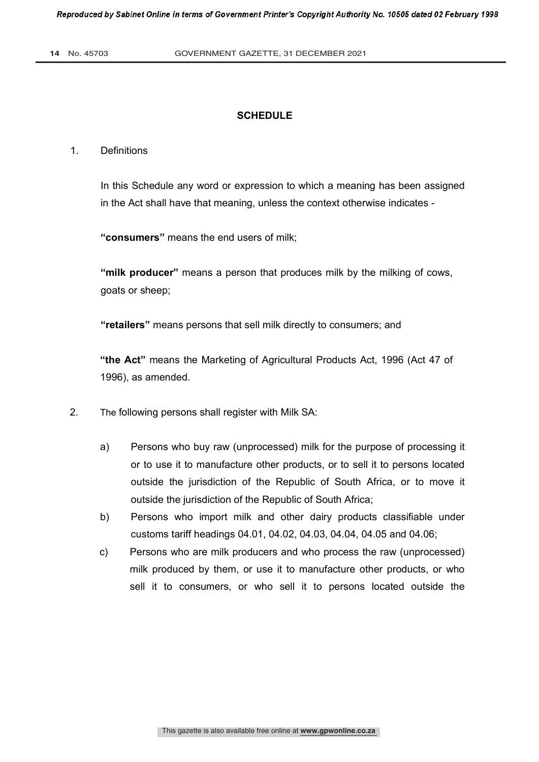## **SCHEDULE**

#### 1. Definitions

In this Schedule any word or expression to which a meaning has been assigned in the Act shall have that meaning, unless the context otherwise indicates -

**"consumers"** means the end users of milk;

**"milk producer"** means a person that produces milk by the milking of cows, goats or sheep;

**"retailers"** means persons that sell milk directly to consumers; and

**"the Act"** means the Marketing of Agricultural Products Act, 1996 (Act 47 of 1996), as amended.

- 2. The following persons shall register with Milk SA:
	- a) Persons who buy raw (unprocessed) milk for the purpose of processing it or to use it to manufacture other products, or to sell it to persons located outside the jurisdiction of the Republic of South Africa, or to move it outside the jurisdiction of the Republic of South Africa;
	- b) Persons who import milk and other dairy products classifiable under customs tariff headings 04.01, 04.02, 04.03, 04.04, 04.05 and 04.06;
	- c) Persons who are milk producers and who process the raw (unprocessed) milk produced by them, or use it to manufacture other products, or who sell it to consumers, or who sell it to persons located outside the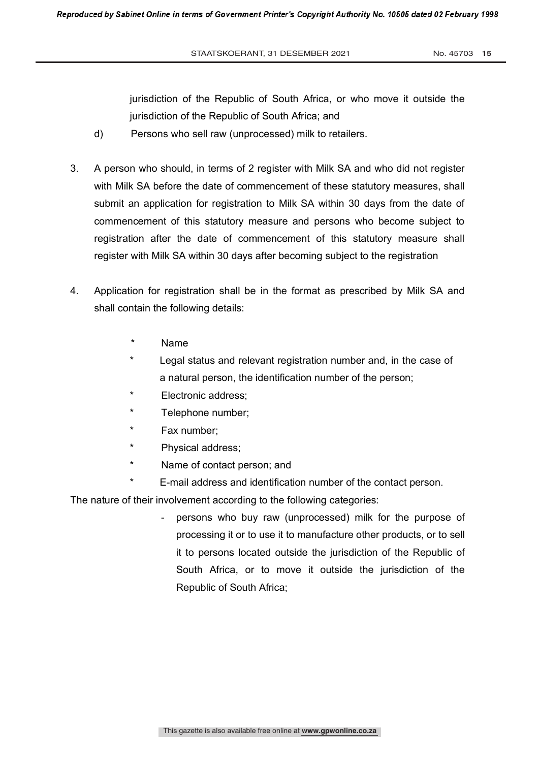jurisdiction of the Republic of South Africa, or who move it outside the jurisdiction of the Republic of South Africa; and

- d) Persons who sell raw (unprocessed) milk to retailers.
- 3. A person who should, in terms of 2 register with Milk SA and who did not register with Milk SA before the date of commencement of these statutory measures, shall submit an application for registration to Milk SA within 30 days from the date of commencement of this statutory measure and persons who become subject to registration after the date of commencement of this statutory measure shall register with Milk SA within 30 days after becoming subject to the registration
- 4. Application for registration shall be in the format as prescribed by Milk SA and shall contain the following details:
	- Name
	- Legal status and relevant registration number and, in the case of a natural person, the identification number of the person;
	- Electronic address;
	- Telephone number;
	- Fax number:
	- Physical address;
	- Name of contact person; and
	- E-mail address and identification number of the contact person.

The nature of their involvement according to the following categories:

persons who buy raw (unprocessed) milk for the purpose of processing it or to use it to manufacture other products, or to sell it to persons located outside the jurisdiction of the Republic of South Africa, or to move it outside the jurisdiction of the Republic of South Africa;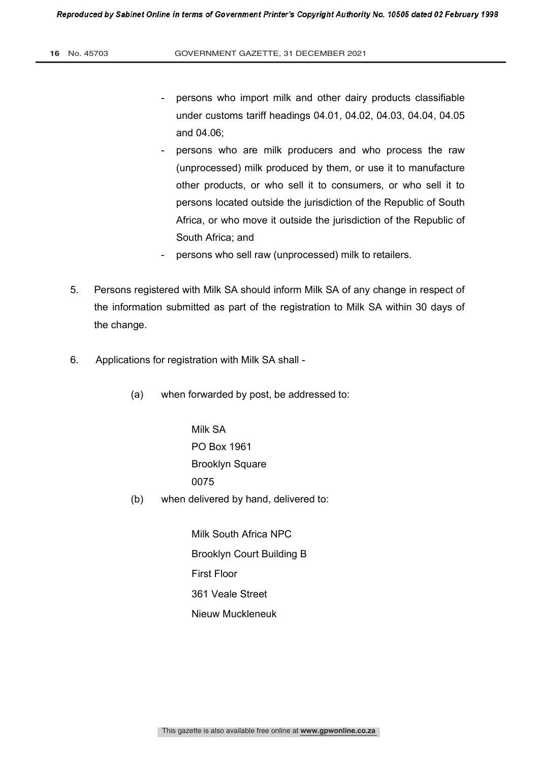- persons who import milk and other dairy products classifiable under customs tariff headings 04.01, 04.02, 04.03, 04.04, 04.05 and 04.06;
- persons who are milk producers and who process the raw (unprocessed) milk produced by them, or use it to manufacture other products, or who sell it to consumers, or who sell it to persons located outside the jurisdiction of the Republic of South Africa, or who move it outside the jurisdiction of the Republic of South Africa; and
- persons who sell raw (unprocessed) milk to retailers.
- 5. Persons registered with Milk SA should inform Milk SA of any change in respect of the information submitted as part of the registration to Milk SA within 30 days of the change.
- 6. Applications for registration with Milk SA shall
	- (a) when forwarded by post, be addressed to:

Milk SA PO Box 1961 Brooklyn Square 0075

(b) when delivered by hand, delivered to:

 Milk South Africa NPC Brooklyn Court Building B First Floor 361 Veale Street Nieuw Muckleneuk